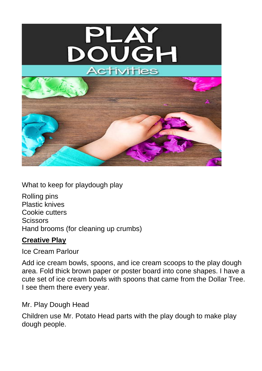

What to keep for playdough play

Rolling pins Plastic knives Cookie cutters **Scissors** Hand brooms (for cleaning up crumbs)

# **Creative Play**

Ice Cream Parlour

Add ice cream bowls, spoons, and ice cream scoops to the play dough area. Fold thick brown paper or poster board into cone shapes. I have a cute set of ice cream bowls with spoons that came from the Dollar Tree. I see them there every year.

Mr. Play Dough Head

Children use Mr. Potato Head parts with the play dough to make play dough people.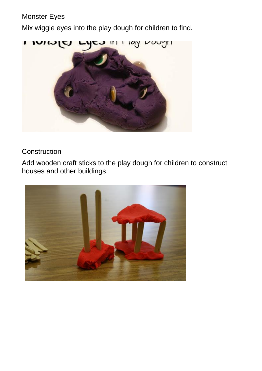# Monster Eyes

Mix wiggle eyes into the play dough for children to find.



# **Construction**

Add wooden craft sticks to the play dough for children to construct houses and other buildings.

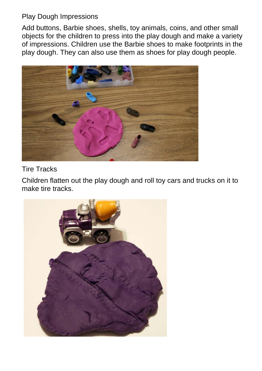## Play Dough Impressions

Add buttons, Barbie shoes, shells, toy animals, coins, and other small objects for the children to press into the play dough and make a variety of impressions. Children use the Barbie shoes to make footprints in the play dough. They can also use them as shoes for play dough people.



## Tire Tracks

Children flatten out the play dough and roll toy cars and trucks on it to make tire tracks.

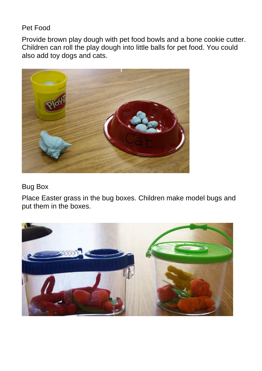## Pet Food

Provide brown play dough with pet food bowls and a bone cookie cutter. Children can roll the play dough into little balls for pet food. You could also add toy dogs and cats.



## Bug Box

Place Easter grass in the bug boxes. Children make model bugs and put them in the boxes.

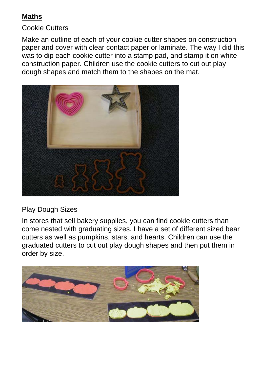# **Maths**

## Cookie Cutters

Make an outline of each of your cookie cutter shapes on construction paper and cover with clear contact paper or laminate. The way I did this was to dip each cookie cutter into a stamp pad, and stamp it on white construction paper. Children use the cookie cutters to cut out play dough shapes and match them to the shapes on the mat.



# Play Dough Sizes

In stores that sell bakery supplies, you can find cookie cutters than come nested with graduating sizes. I have a set of different sized bear cutters as well as pumpkins, stars, and hearts. Children can use the graduated cutters to cut out play dough shapes and then put them in order by size.

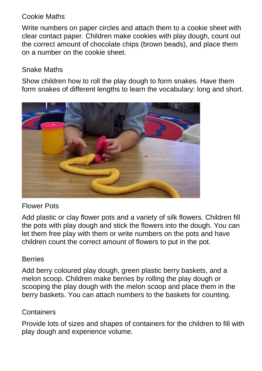## Cookie Maths

Write numbers on paper circles and attach them to a cookie sheet with clear contact paper. Children make cookies with play dough, count out the correct amount of chocolate chips (brown beads), and place them on a number on the cookie sheet.

## Snake Maths

Show children how to roll the play dough to form snakes. Have them form snakes of different lengths to learn the vocabulary: long and short.



## Flower Pots

Add plastic or clay flower pots and a variety of silk flowers. Children fill the pots with play dough and stick the flowers into the dough. You can let them free play with them or write numbers on the pots and have children count the correct amount of flowers to put in the pot.

# **Berries**

Add berry coloured play dough, green plastic berry baskets, and a melon scoop. Children make berries by rolling the play dough or scooping the play dough with the melon scoop and place them in the berry baskets. You can attach numbers to the baskets for counting.

# **Containers**

Provide lots of sizes and shapes of containers for the children to fill with play dough and experience volume.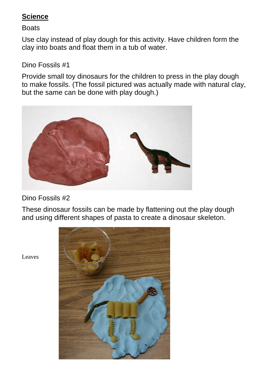# **Science**

### **Boats**

Use clay instead of play dough for this activity. Have children form the clay into boats and float them in a tub of water.

# Dino Fossils #1

Provide small toy dinosaurs for the children to press in the play dough to make fossils. (The fossil pictured was actually made with natural clay, but the same can be done with play dough.)



Dino Fossils #2

These dinosaur fossils can be made by flattening out the play dough and using different shapes of pasta to create a dinosaur skeleton.



Leaves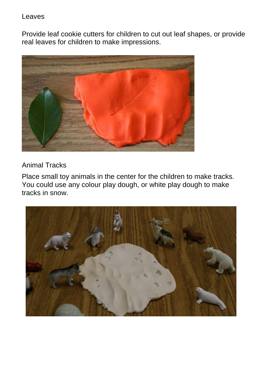Leaves

Provide leaf cookie cutters for children to cut out leaf shapes, or provide real leaves for children to make impressions.



Animal Tracks

Place small toy animals in the center for the children to make tracks. You could use any colour play dough, or white play dough to make tracks in snow.